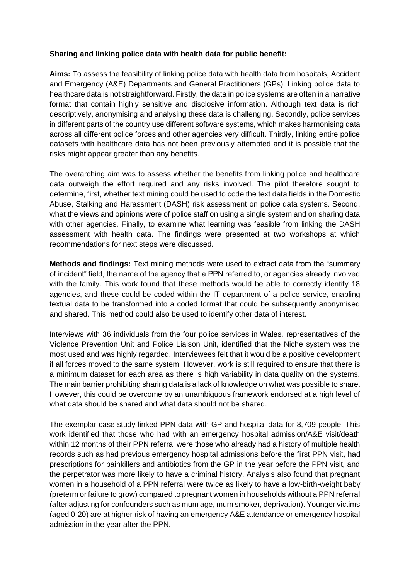## **Sharing and linking police data with health data for public benefit:**

**Aims:** To assess the feasibility of linking police data with health data from hospitals, Accident and Emergency (A&E) Departments and General Practitioners (GPs). Linking police data to healthcare data is not straightforward. Firstly, the data in police systems are often in a narrative format that contain highly sensitive and disclosive information. Although text data is rich descriptively, anonymising and analysing these data is challenging. Secondly, police services in different parts of the country use different software systems, which makes harmonising data across all different police forces and other agencies very difficult. Thirdly, linking entire police datasets with healthcare data has not been previously attempted and it is possible that the risks might appear greater than any benefits.

The overarching aim was to assess whether the benefits from linking police and healthcare data outweigh the effort required and any risks involved. The pilot therefore sought to determine, first, whether text mining could be used to code the text data fields in the Domestic Abuse, Stalking and Harassment (DASH) risk assessment on police data systems. Second, what the views and opinions were of police staff on using a single system and on sharing data with other agencies. Finally, to examine what learning was feasible from linking the DASH assessment with health data. The findings were presented at two workshops at which recommendations for next steps were discussed.

**Methods and findings:** Text mining methods were used to extract data from the "summary of incident" field, the name of the agency that a PPN referred to, or agencies already involved with the family. This work found that these methods would be able to correctly identify 18 agencies, and these could be coded within the IT department of a police service, enabling textual data to be transformed into a coded format that could be subsequently anonymised and shared. This method could also be used to identify other data of interest.

Interviews with 36 individuals from the four police services in Wales, representatives of the Violence Prevention Unit and Police Liaison Unit, identified that the Niche system was the most used and was highly regarded. Interviewees felt that it would be a positive development if all forces moved to the same system. However, work is still required to ensure that there is a minimum dataset for each area as there is high variability in data quality on the systems. The main barrier prohibiting sharing data is a lack of knowledge on what was possible to share. However, this could be overcome by an unambiguous framework endorsed at a high level of what data should be shared and what data should not be shared.

The exemplar case study linked PPN data with GP and hospital data for 8,709 people. This work identified that those who had with an emergency hospital admission/A&E visit/death within 12 months of their PPN referral were those who already had a history of multiple health records such as had previous emergency hospital admissions before the first PPN visit, had prescriptions for painkillers and antibiotics from the GP in the year before the PPN visit, and the perpetrator was more likely to have a criminal history. Analysis also found that pregnant women in a household of a PPN referral were twice as likely to have a low-birth-weight baby (preterm or failure to grow) compared to pregnant women in households without a PPN referral (after adjusting for confounders such as mum age, mum smoker, deprivation). Younger victims (aged 0-20) are at higher risk of having an emergency A&E attendance or emergency hospital admission in the year after the PPN.